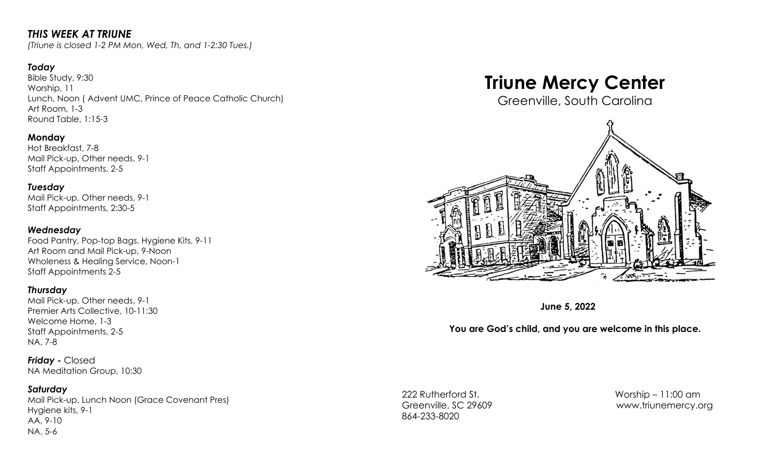# *THIS WEEK AT TRIUNE*

*(Triune is closed 1-2 PM Mon, Wed, Th, and 1-2:30 Tues.)*

## *Today*

Bible Study, 9:30 Worship, 11 Lunch, Noon ( Advent UMC, Prince of Peace Catholic Church) Art Room, 1-3 Round Table, 1:15-3

## **Monday**

Hot Breakfast, 7-8 Mail Pick-up, Other needs, 9-1 Staff Appointments, 2-5

*Tuesday* Mail Pick-up, Other needs, 9-1 Staff Appointments, 2:30-5

### *Wednesday*

Food Pantry, Pop-top Bags, Hygiene Kits, 9-11 Art Room and Mail Pick-up, 9-Noon Wholeness & Healing Service, Noon-1 Staff Appointments 2-5

## *Thursday*

Mail Pick-up, Other needs, 9-1 Premier Arts Collective, 10-11:30 Welcome Home, 1-3 Staff Appointments, 2-5 NA, 7-8

*Friday -* Closed NA Meditation Group, 10:30

## *Saturday*

Mail Pick-up, Lunch Noon (Grace Covenant Pres) Hygiene kits, 9-1 AA, 9-10 NA, 5-6

# **Triune Mercy Center**

Greenville, South Carolina



**June 5, 2022**

## **You are God's child, and you are welcome in this place.**

222 Rutherford St. Worship – 11:00 am 864-233-8020

Greenville, SC 29609 [www.triunemercy.org](http://www.triunemercy.org)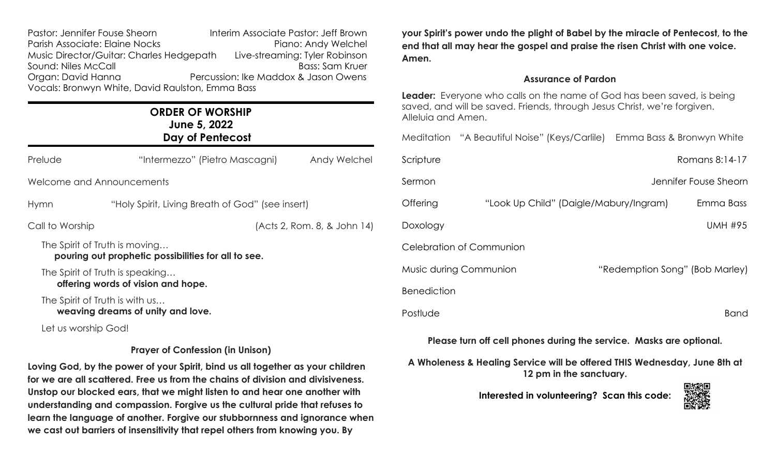| Pastor: Jennifer Fouse Sheorn                    | Interim Associate Pastor: Jeff Brown |  |  |  |
|--------------------------------------------------|--------------------------------------|--|--|--|
| Parish Associate: Elaine Nocks                   | Piano: Andy Welchel                  |  |  |  |
| Music Director/Guitar: Charles Hedgepath         | Live-streaming: Tyler Robinson       |  |  |  |
| Sound: Niles McCall                              | <b>Bass: Sam Kruer</b>               |  |  |  |
| Organ: David Hanna                               | Percussion: Ike Maddox & Jason Owens |  |  |  |
| Vocals: Bronwyn White, David Raulston, Emma Bass |                                      |  |  |  |

# **ORDER OF WORSHIP June 5, 2022 Day of Pentecost**

| Prelude                                                                                  | "Intermezzo" (Pietro Mascagni)                   | Andy Welchel |  |  |
|------------------------------------------------------------------------------------------|--------------------------------------------------|--------------|--|--|
| Welcome and Announcements                                                                |                                                  |              |  |  |
| Hymn                                                                                     | "Holy Spirit, Living Breath of God" (see insert) |              |  |  |
| Call to Worship                                                                          | (Acts 2, Rom. 8, & John 14)                      |              |  |  |
| The Spirit of Truth is moving<br>pouring out prophetic possibilities for all to see.     |                                                  |              |  |  |
| The Spirit of Truth is speaking<br>offering words of vision and hope.                    |                                                  |              |  |  |
| The Spirit of Truth is with us                                                           | weaving dreams of unity and love.                |              |  |  |
| $\mathbf{I}$ and $\mathbf{I}$ are all $\mathbf{I}$ and $\mathbf{I}$ are all $\mathbf{I}$ |                                                  |              |  |  |

Let us worship God!

## **Prayer of Confession (in Unison)**

**Loving God, by the power of your Spirit, bind us all together as your children for we are all scattered. Free us from the chains of division and divisiveness. Unstop our blocked ears, that we might listen to and hear one another with understanding and compassion. Forgive us the cultural pride that refuses to learn the language of another. Forgive our stubbornness and ignorance when we cast out barriers of insensitivity that repel others from knowing you. By**

**your Spirit's power undo the plight of Babel by the miracle of Pentecost, to the end that all may hear the gospel and praise the risen Christ with one voice. Amen.**

### **Assurance of Pardon**

**Leader:** Everyone who calls on the name of God has been saved, is being saved, and will be saved. Friends, through Jesus Christ, we're forgiven. Alleluia and Amen.

|                    | Meditation "A Beautiful Noise" (Keys/Carlile) Emma Bass & Bronwyn White |                                |
|--------------------|-------------------------------------------------------------------------|--------------------------------|
| Scripture          |                                                                         | Romans 8:14-17                 |
| Sermon             |                                                                         | Jennifer Fouse Sheorn          |
| Offering           | "Look Up Child" (Daigle/Mabury/Ingram)                                  | Emma Bass                      |
| Doxology           |                                                                         | <b>UMH #95</b>                 |
|                    | Celebration of Communion                                                |                                |
|                    | Music during Communion                                                  | "Redemption Song" (Bob Marley) |
| <b>Benediction</b> |                                                                         |                                |
| Postlude           |                                                                         | <b>Band</b>                    |
|                    |                                                                         |                                |

**Please turn off cell phones during the service. Masks are optional.**

**A Wholeness & Healing Service will be offered THIS Wednesday, June 8th at 12 pm in the sanctuary.**

**Interested in volunteering? Scan this code:**